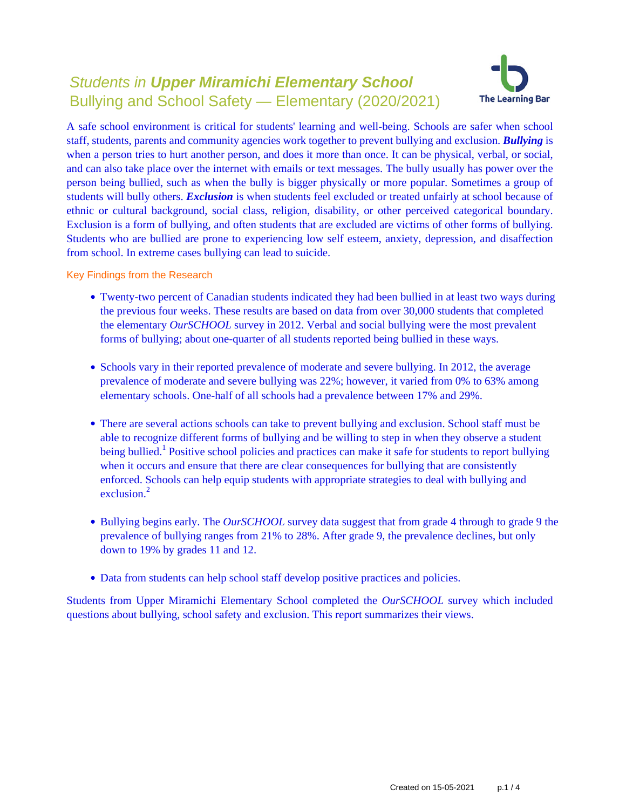# Students in **Upper Miramichi Elementary School** Bullying and School Safety — Elementary (2020/2021)



A safe school environment is critical for students' learning and well-being. Schools are safer when school staff, students, parents and community agencies work together to prevent bullying and exclusion. *Bullying* is when a person tries to hurt another person, and does it more than once. It can be physical, verbal, or social, and can also take place over the internet with emails or text messages. The bully usually has power over the person being bullied, such as when the bully is bigger physically or more popular. Sometimes a group of students will bully others. *Exclusion* is when students feel excluded or treated unfairly at school because of ethnic or cultural background, social class, religion, disability, or other perceived categorical boundary. Exclusion is a form of bullying, and often students that are excluded are victims of other forms of bullying. Students who are bullied are prone to experiencing low self esteem, anxiety, depression, and disaffection from school. In extreme cases bullying can lead to suicide.

Key Findings from the Research

- Twenty-two percent of Canadian students indicated they had been bullied in at least two ways during the previous four weeks. These results are based on data from over 30,000 students that completed the elementary *OurSCHOOL* survey in 2012. Verbal and social bullying were the most prevalent forms of bullying; about one-quarter of all students reported being bullied in these ways.
- Schools vary in their reported prevalence of moderate and severe bullying. In 2012, the average prevalence of moderate and severe bullying was 22%; however, it varied from 0% to 63% among elementary schools. One-half of all schools had a prevalence between 17% and 29%.
- There are several actions schools can take to prevent bullying and exclusion. School staff must be able to recognize different forms of bullying and be willing to step in when they observe a student being bullied.<sup>1</sup> Positive school policies and practices can make it safe for students to report bullying when it occurs and ensure that there are clear consequences for bullying that are consistently enforced. Schools can help equip students with appropriate strategies to deal with bullying and exclusion.<sup>2</sup>
- Bullying begins early. The *OurSCHOOL* survey data suggest that from grade 4 through to grade 9 the prevalence of bullying ranges from 21% to 28%. After grade 9, the prevalence declines, but only down to 19% by grades 11 and 12.
- Data from students can help school staff develop positive practices and policies.

Students from Upper Miramichi Elementary School completed the *OurSCHOOL* survey which included questions about bullying, school safety and exclusion. This report summarizes their views.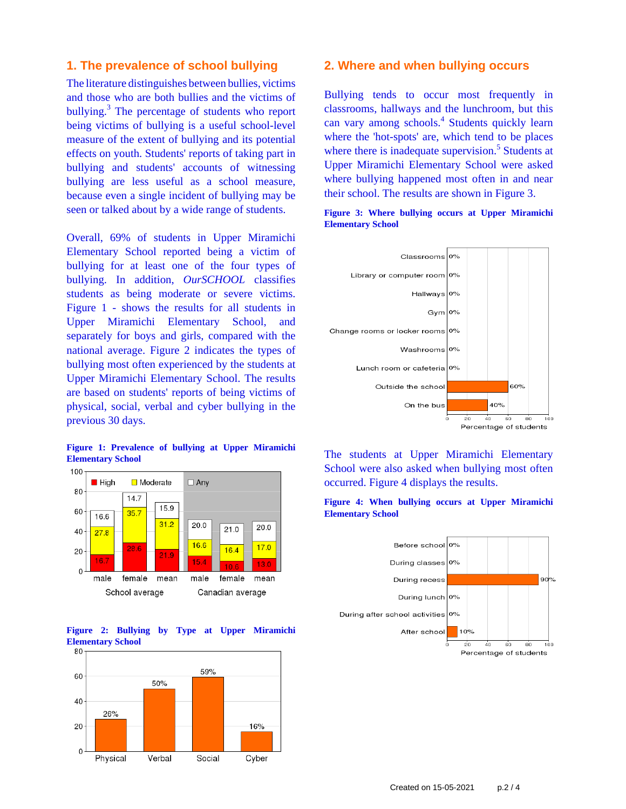## **1. The prevalence of school bullying**

The literature distinguishes between bullies, victims and those who are both bullies and the victims of bullying.<sup>3</sup> The percentage of students who report being victims of bullying is a useful school-level measure of the extent of bullying and its potential effects on youth. Students' reports of taking part in bullying and students' accounts of witnessing bullying are less useful as a school measure, because even a single incident of bullying may be seen or talked about by a wide range of students.

Overall, 69% of students in Upper Miramichi Elementary School reported being a victim of bullying for at least one of the four types of bullying. In addition, *OurSCHOOL* classifies students as being moderate or severe victims. Figure 1 - shows the results for all students in Upper Miramichi Elementary School, and separately for boys and girls, compared with the national average. Figure 2 indicates the types of bullying most often experienced by the students at Upper Miramichi Elementary School. The results are based on students' reports of being victims of physical, social, verbal and cyber bullying in the previous 30 days.









#### **2. Where and when bullying occurs**

Bullying tends to occur most frequently in classrooms, hallways and the lunchroom, but this can vary among schools.<sup>4</sup> Students quickly learn where the 'hot-spots' are, which tend to be places where there is inadequate supervision.<sup>5</sup> Students at Upper Miramichi Elementary School were asked where bullying happened most often in and near their school. The results are shown in Figure 3.





The students at Upper Miramichi Elementary School were also asked when bullying most often occurred. Figure 4 displays the results.



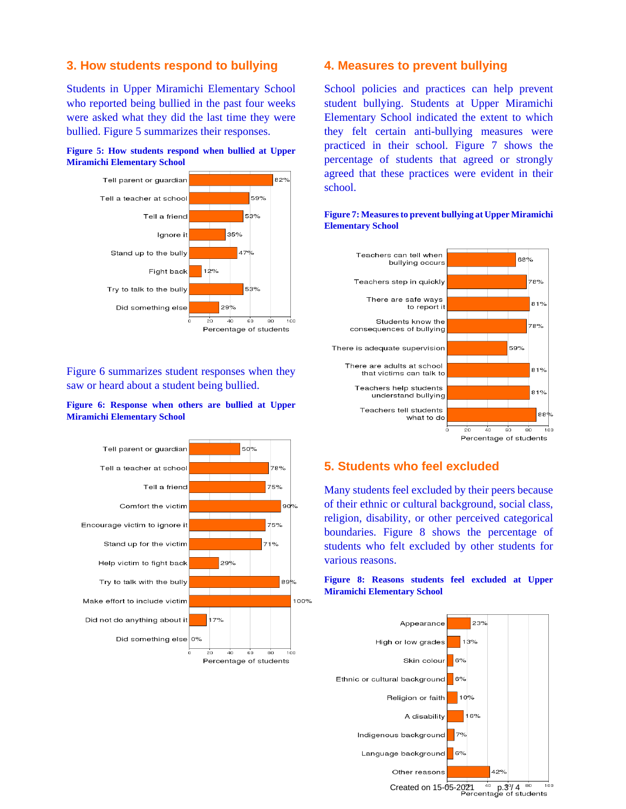## **3. How students respond to bullying**

Students in Upper Miramichi Elementary School who reported being bullied in the past four weeks were asked what they did the last time they were bullied. Figure 5 summarizes their responses.





Figure 6 summarizes student responses when they saw or heard about a student being bullied.

#### **Figure 6: Response when others are bullied at Upper Miramichi Elementary School**



### **4. Measures to prevent bullying**

School policies and practices can help prevent student bullying. Students at Upper Miramichi Elementary School indicated the extent to which they felt certain anti-bullying measures were practiced in their school. Figure 7 shows the percentage of students that agreed or strongly agreed that these practices were evident in their school.



#### **Figure 7: Measures to prevent bullying at Upper Miramichi Elementary School**

## **5. Students who feel excluded**

Many students feel excluded by their peers because of their ethnic or cultural background, social class, religion, disability, or other perceived categorical boundaries. Figure 8 shows the percentage of students who felt excluded by other students for various reasons.